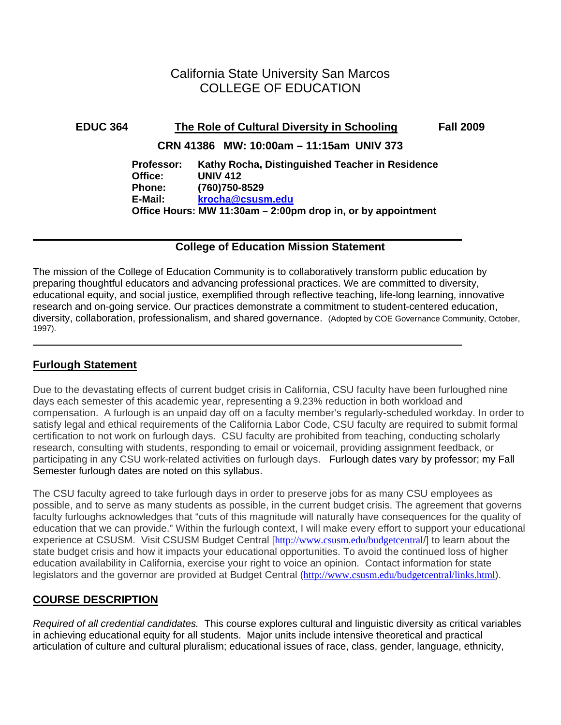# California State University San Marcos COLLEGE OF EDUCATION

# **EDUC 364 The Role of Cultural Diversity in Schooling Fall 2009 CRN 41386 MW: 10:00am – 11:15am UNIV 373 Professor: Kathy Rocha, Distinguished Teacher in Residence Office: UNIV 412 Phone: (760)750-8529 E-Mail: krocha@csusm.edu Office Hours: MW 11:30am – 2:00pm drop in, or by appointment**

## **College of Education Mission Statement**

 The mission of the College of Education Community is to collaboratively transform public education by preparing thoughtful educators and advancing professional practices. We are committed to diversity, educational equity, and social justice, exemplified through reflective teaching, life-long learning, innovative research and on-going service. Our practices demonstrate a commitment to student-centered education, diversity, collaboration, professionalism, and shared governance. (Adopted by COE Governance Community, October, 1997).

# **Furlough Statement**

Due to the devastating effects of current budget crisis in California, CSU faculty have been furloughed nine days each semester of this academic year, representing a 9.23% reduction in both workload and compensation. A furlough is an unpaid day off on a faculty member's regularly-scheduled workday. In order to satisfy legal and ethical requirements of the California Labor Code, CSU faculty are required to submit formal certification to not work on furlough days. CSU faculty are prohibited from teaching, conducting scholarly research, consulting with students, responding to email or voicemail, providing assignment feedback, or participating in any CSU work-related activities on furlough days. Furlough dates vary by professor; my Fall Semester furlough dates are noted on this syllabus.

The CSU faculty agreed to take furlough days in order to preserve jobs for as many CSU employees as possible, and to serve as many students as possible, in the current budget crisis. The agreement that governs faculty furloughs acknowledges that "cuts of this magnitude will naturally have consequences for the quality of education that we can provide." Within the furlough context, I will make every effort to support your educational experience at CSUSM. Visit CSUSM Budget Central [http://www.csusm.edu/budgetcentral/] to learn about the state budget crisis and how it impacts your educational opportunities. To avoid the continued loss of higher education availability in California, exercise your right to voice an opinion. Contact information for state legislators and the governor are provided at Budget Central (http://www.csusm.edu/budgetcentral/links.html).

# **COURSE DESCRIPTION**

*Required of all credential candidates.* This course explores cultural and linguistic diversity as critical variables in achieving educational equity for all students. Major units include intensive theoretical and practical articulation of culture and cultural pluralism; educational issues of race, class, gender, language, ethnicity,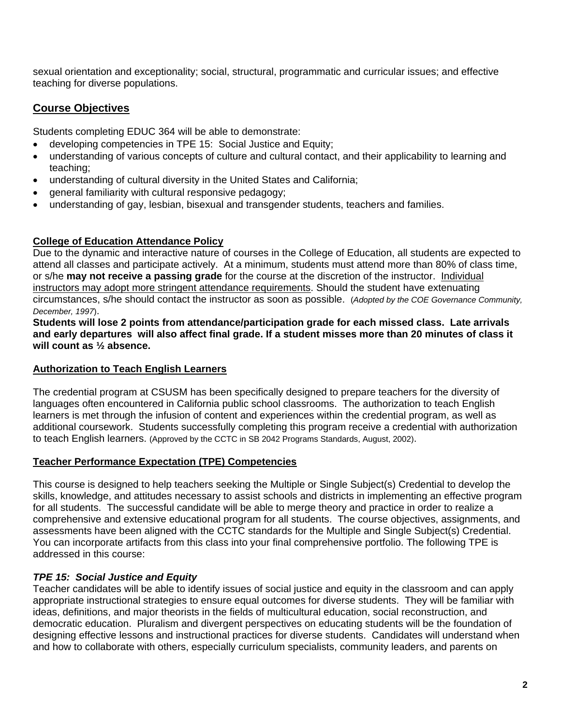sexual orientation and exceptionality; social, structural, programmatic and curricular issues; and effective teaching for diverse populations.

# **Course Objectives**

Students completing EDUC 364 will be able to demonstrate:

- developing competencies in TPE 15: Social Justice and Equity;
- understanding of various concepts of culture and cultural contact, and their applicability to learning and teaching;
- understanding of cultural diversity in the United States and California;
- general familiarity with cultural responsive pedagogy;
- understanding of gay, lesbian, bisexual and transgender students, teachers and families.

## **College of Education Attendance Policy**

 circumstances, s/he should contact the instructor as soon as possible. (*Adopted by the COE Governance Community,*  Due to the dynamic and interactive nature of courses in the College of Education, all students are expected to attend all classes and participate actively. At a minimum, students must attend more than 80% of class time, or s/he **may not receive a passing grade** for the course at the discretion of the instructor. Individual instructors may adopt more stringent attendance requirements. Should the student have extenuating *December, 1997*).

**Students will lose 2 points from attendance/participation grade for each missed class. Late arrivals and early departures will also affect final grade. If a student misses more than 20 minutes of class it will count as ½ absence.** 

## **Authorization to Teach English Learners**

The credential program at CSUSM has been specifically designed to prepare teachers for the diversity of languages often encountered in California public school classrooms. The authorization to teach English learners is met through the infusion of content and experiences within the credential program, as well as additional coursework. Students successfully completing this program receive a credential with authorization to teach English learners. (Approved by the CCTC in SB 2042 Programs Standards, August, 2002).

### **Teacher Performance Expectation (TPE) Competencies**

This course is designed to help teachers seeking the Multiple or Single Subject(s) Credential to develop the skills, knowledge, and attitudes necessary to assist schools and districts in implementing an effective program for all students. The successful candidate will be able to merge theory and practice in order to realize a comprehensive and extensive educational program for all students. The course objectives, assignments, and assessments have been aligned with the CCTC standards for the Multiple and Single Subject(s) Credential. You can incorporate artifacts from this class into your final comprehensive portfolio. The following TPE is addressed in this course:

## *TPE 15: Social Justice and Equity*

Teacher candidates will be able to identify issues of social justice and equity in the classroom and can apply appropriate instructional strategies to ensure equal outcomes for diverse students. They will be familiar with ideas, definitions, and major theorists in the fields of multicultural education, social reconstruction, and democratic education. Pluralism and divergent perspectives on educating students will be the foundation of designing effective lessons and instructional practices for diverse students. Candidates will understand when and how to collaborate with others, especially curriculum specialists, community leaders, and parents on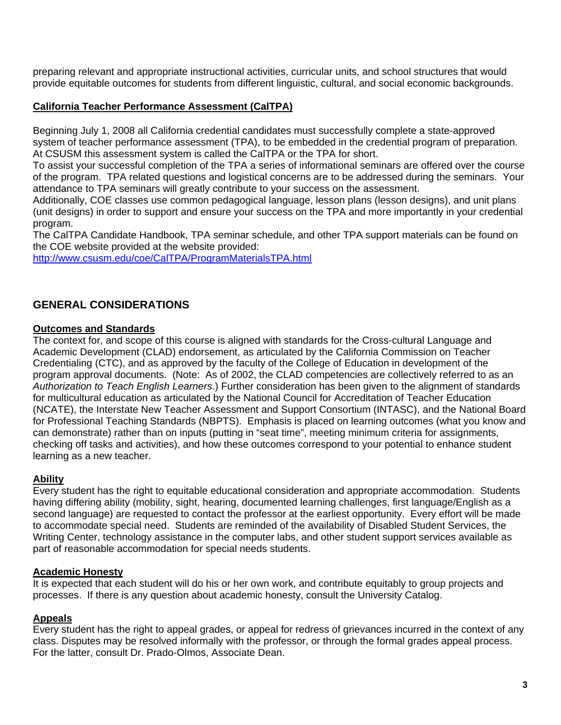preparing relevant and appropriate instructional activities, curricular units, and school structures that would provide equitable outcomes for students from different linguistic, cultural, and social economic backgrounds.

## **California Teacher Performance Assessment (CalTPA)**

system of teacher performance assessment (TPA), to be embedded in the credential program of preparation.<br>At CSUSM this assessment system is called the CalTPA or the TPA for short. Beginning July 1, 2008 all California credential candidates must successfully complete a state-approved

To assist your successful completion of the TPA a series of informational seminars are offered over the course of the program. TPA related questions and logistical concerns are to be addressed during the seminars. Your attendance to TPA seminars will greatly contribute to your success on the assessment.

Additionally, COE classes use common pedagogical language, lesson plans (lesson designs), and unit plans (unit designs) in order to support and ensure your success on the TPA and more importantly in your credential program.

The CalTPA Candidate Handbook, TPA seminar schedule, and other TPA support materials can be found on the COE website provided at the website provided:

http://www.csusm.edu/coe/CalTPA/ProgramMaterialsTPA.html

# **GENERAL CONSIDERATIONS**

#### **Outcomes and Standards**

The context for, and scope of this course is aligned with standards for the Cross-cultural Language and Academic Development (CLAD) endorsement, as articulated by the California Commission on Teacher Credentialing (CTC), and as approved by the faculty of the College of Education in development of the program approval documents. (Note: As of 2002, the CLAD competencies are collectively referred to as an *Authorization to Teach English Learners*.) Further consideration has been given to the alignment of standards for multicultural education as articulated by the National Council for Accreditation of Teacher Education (NCATE), the Interstate New Teacher Assessment and Support Consortium (INTASC), and the National Board for Professional Teaching Standards (NBPTS). Emphasis is placed on learning outcomes (what you know and can demonstrate) rather than on inputs (putting in "seat time", meeting minimum criteria for assignments, checking off tasks and activities), and how these outcomes correspond to your potential to enhance student learning as a new teacher.

### **Ability**

Every student has the right to equitable educational consideration and appropriate accommodation. Students having differing ability (mobility, sight, hearing, documented learning challenges, first language/English as a second language) are requested to contact the professor at the earliest opportunity. Every effort will be made to accommodate special need. Students are reminded of the availability of Disabled Student Services, the Writing Center, technology assistance in the computer labs, and other student support services available as part of reasonable accommodation for special needs students.

### **Academic Honesty**

It is expected that each student will do his or her own work, and contribute equitably to group projects and processes. If there is any question about academic honesty, consult the University Catalog.

### **Appeals**

Every student has the right to appeal grades, or appeal for redress of grievances incurred in the context of any class. Disputes may be resolved informally with the professor, or through the formal grades appeal process. For the latter, consult Dr. Prado-Olmos, Associate Dean.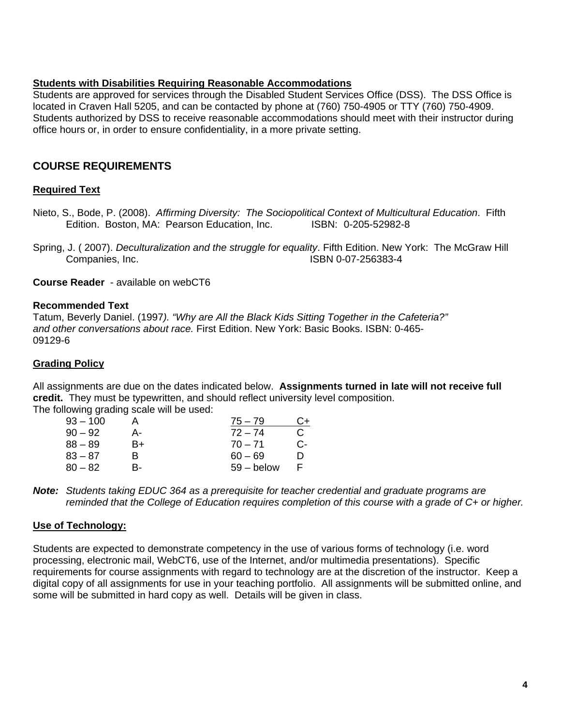#### **Students with Disabilities Requiring Reasonable Accommodations**

Students are approved for services through the Disabled Student Services Office (DSS). The DSS Office is located in Craven Hall 5205, and can be contacted by phone at (760) 750-4905 or TTY (760) 750-4909. Students authorized by DSS to receive reasonable accommodations should meet with their instructor during office hours or, in order to ensure confidentiality, in a more private setting.

# **COURSE REQUIREMENTS**

### **Required Text**

Edition. Boston, MA: Pearson Education, Inc. ISBN: 0-205-52982-8 Nieto, S., Bode, P. (2008). *Affirming Diversity: The Sociopolitical Context of Multicultural Education*. Fifth

Companies, Inc. Spring, J. ( 2007). *Deculturalization and the struggle for equality*. Fifth Edition. New York: The McGraw Hill ISBN 0-07-256383-4

**Course Reader** - available on webCT6

#### **Recommended Text**

Tatum, Beverly Daniel. (1997*). "Why are All the Black Kids Sitting Together in the Cafeteria?" and other conversations about race.* First Edition. New York: Basic Books. ISBN: 0-465- 09129-6

#### **Grading Policy**

All assignments are due on the dates indicated below. **Assignments turned in late will not receive full credit.** They must be typewritten, and should reflect university level composition. The following grading scale will be used:

| $75 - 79$    | C+. |
|--------------|-----|
| $72 - 74$    | C   |
| $70 - 71$    | С-  |
| $60 - 69$    | m   |
| $59 -$ below |     |
|              |     |

**Note:** *Students taking EDUC 364 as a prerequisite for teacher credential and graduate programs are reminded that the College of Education requires completion of this course with a grade of C+ or higher.* 

### **Use of Technology:**

Students are expected to demonstrate competency in the use of various forms of technology (i.e. word processing, electronic mail, WebCT6, use of the Internet, and/or multimedia presentations). Specific requirements for course assignments with regard to technology are at the discretion of the instructor. Keep a digital copy of all assignments for use in your teaching portfolio. All assignments will be submitted online, and some will be submitted in hard copy as well. Details will be given in class.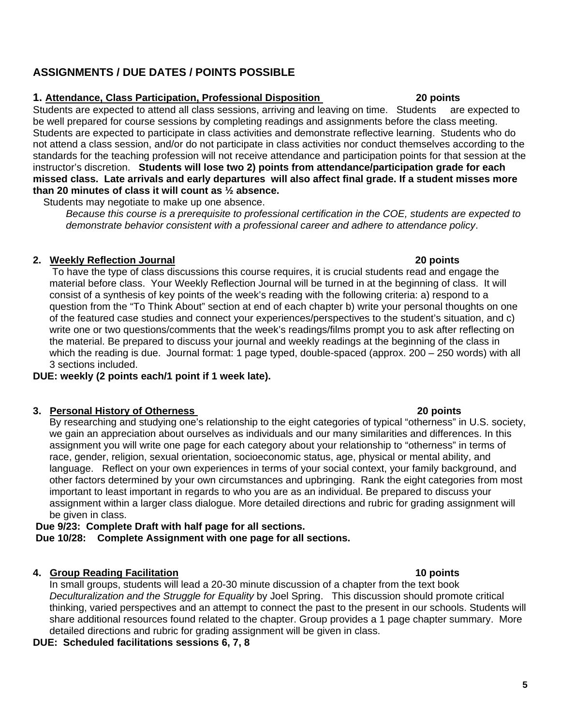# **ASSIGNMENTS / DUE DATES / POINTS POSSIBLE**

## **1. Attendance, Class Participation, Professional Disposition 20 points**

Students are expected to attend all class sessions, arriving and leaving on time. Students are expected to instructor's discretion. **Students will lose two 2) points from attendance/participation grade for each**  be well prepared for course sessions by completing readings and assignments before the class meeting. Students are expected to participate in class activities and demonstrate reflective learning. Students who do not attend a class session, and/or do not participate in class activities nor conduct themselves according to the standards for the teaching profession will not receive attendance and participation points for that session at the **missed class. Late arrivals and early departures will also affect final grade. If a student misses more than 20 minutes of class it will count as ½ absence.** 

Students may negotiate to make up one absence.

*Because this course is a prerequisite to professional certification in the COE, students are expected to demonstrate behavior consistent with a professional career and adhere to attendance policy*.

### **2. Weekly Reflection Journal 20 points**

 To have the type of class discussions this course requires, it is crucial students read and engage the material before class. Your Weekly Reflection Journal will be turned in at the beginning of class. It will consist of a synthesis of key points of the week's reading with the following criteria: a) respond to a question from the "To Think About" section at end of each chapter b) write your personal thoughts on one of the featured case studies and connect your experiences/perspectives to the student's situation, and c) write one or two questions/comments that the week's readings/films prompt you to ask after reflecting on the material. Be prepared to discuss your journal and weekly readings at the beginning of the class in which the reading is due. Journal format: 1 page typed, double-spaced (approx. 200 – 250 words) with all 3 sections included.

## **DUE: weekly (2 points each/1 point if 1 week late).**

### **20 points 120 points 130 points 130 points 130 points 130 points**

By researching and studying one's relationship to the eight categories of typical "otherness" in U.S. society, we gain an appreciation about ourselves as individuals and our many similarities and differences. In this assignment you will write one page for each category about your relationship to "otherness" in terms of race, gender, religion, sexual orientation, socioeconomic status, age, physical or mental ability, and language. Reflect on your own experiences in terms of your social context, your family background, and other factors determined by your own circumstances and upbringing. Rank the eight categories from most important to least important in regards to who you are as an individual. Be prepared to discuss your assignment within a larger class dialogue. More detailed directions and rubric for grading assignment will be given in class.

# **Due 9/23: Complete Draft with half page for all sections.**

 **Due 10/28: Complete Assignment with one page for all sections.** 

## **4. Group Reading Facilitation 10 points**

In small groups, students will lead a 20-30 minute discussion of a chapter from the text book *Deculturalization and the Struggle for Equality* by Joel Spring. This discussion should promote critical thinking, varied perspectives and an attempt to connect the past to the present in our schools. Students will share additional resources found related to the chapter. Group provides a 1 page chapter summary. More detailed directions and rubric for grading assignment will be given in class.

## **DUE: Scheduled facilitations sessions 6, 7, 8**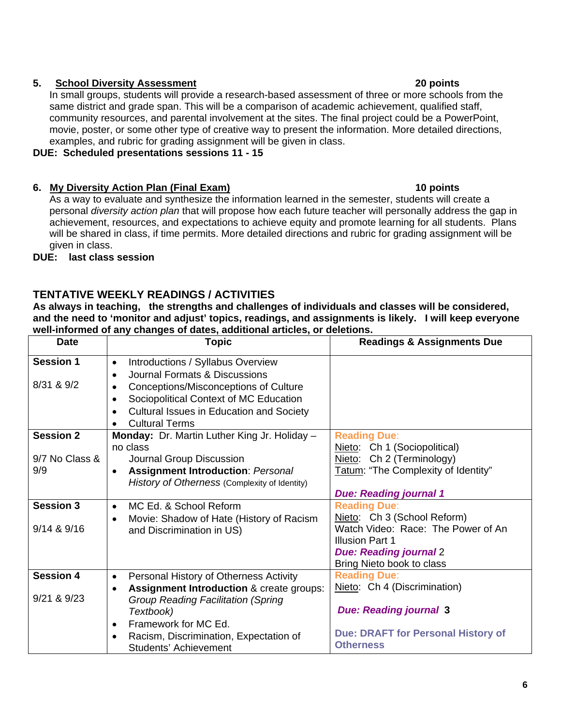### **5. School Diversity Assessment 20 points**

In small groups, students will provide a research-based assessment of three or more schools from the same district and grade span. This will be a comparison of academic achievement, qualified staff, community resources, and parental involvement at the sites. The final project could be a PowerPoint, movie, poster, or some other type of creative way to present the information. More detailed directions, examples, and rubric for grading assignment will be given in class.

### **DUE: Scheduled presentations sessions 11 - 15**

# **10 points 10 points 10 points 10 points**

As a way to evaluate and synthesize the information learned in the semester, students will create a personal *diversity action plan* that will propose how each future teacher will personally address the gap in achievement, resources, and expectations to achieve equity and promote learning for all students. Plans will be shared in class, if time permits. More detailed directions and rubric for grading assignment will be given in class.

# **DUE: last class session**

# **TENTATIVE WEEKLY READINGS / ACTIVITIES**

**As always in teaching, the strengths and challenges of individuals and classes will be considered, and the need to 'monitor and adjust' topics, readings, and assignments is likely. I will keep everyone well-informed of any changes of dates, additional articles, or deletions.** 

| <b>Date</b>                    | Topic                                                                                        | <b>Readings &amp; Assignments Due</b>                         |
|--------------------------------|----------------------------------------------------------------------------------------------|---------------------------------------------------------------|
| <b>Session 1</b><br>8/31 & 9/2 | Introductions / Syllabus Overview<br>$\bullet$<br>Journal Formats & Discussions<br>$\bullet$ |                                                               |
|                                | Conceptions/Misconceptions of Culture<br>Sociopolitical Context of MC Education<br>$\bullet$ |                                                               |
|                                | Cultural Issues in Education and Society                                                     |                                                               |
|                                | <b>Cultural Terms</b>                                                                        |                                                               |
| <b>Session 2</b>               | Monday: Dr. Martin Luther King Jr. Holiday -                                                 | <b>Reading Due:</b>                                           |
|                                | no class                                                                                     | Nieto: Ch 1 (Sociopolitical)                                  |
| 9/7 No Class &                 | Journal Group Discussion                                                                     | Nieto: Ch 2 (Terminology)                                     |
| 9/9                            | <b>Assignment Introduction: Personal</b><br>$\bullet$                                        | Tatum: "The Complexity of Identity"                           |
|                                | History of Otherness (Complexity of Identity)                                                |                                                               |
|                                |                                                                                              | <b>Due: Reading journal 1</b>                                 |
| <b>Session 3</b>               | MC Ed. & School Reform<br>$\bullet$                                                          | <b>Reading Due:</b>                                           |
|                                | Movie: Shadow of Hate (History of Racism                                                     | Nieto: Ch 3 (School Reform)                                   |
| $9/14$ & $9/16$                | and Discrimination in US)                                                                    | Watch Video: Race: The Power of An<br><b>Illusion Part 1</b>  |
|                                |                                                                                              | <b>Due: Reading journal 2</b>                                 |
|                                |                                                                                              | Bring Nieto book to class                                     |
| <b>Session 4</b>               | Personal History of Otherness Activity<br>$\bullet$                                          | <b>Reading Due:</b>                                           |
|                                | <b>Assignment Introduction &amp; create groups:</b>                                          | Nieto: Ch 4 (Discrimination)                                  |
| 9/21 & 8.9/23                  | <b>Group Reading Facilitation (Spring</b>                                                    |                                                               |
|                                | Textbook)                                                                                    | <b>Due: Reading journal 3</b>                                 |
|                                | Framework for MC Ed.                                                                         |                                                               |
|                                | Racism, Discrimination, Expectation of<br><b>Students' Achievement</b>                       | <b>Due: DRAFT for Personal History of</b><br><b>Otherness</b> |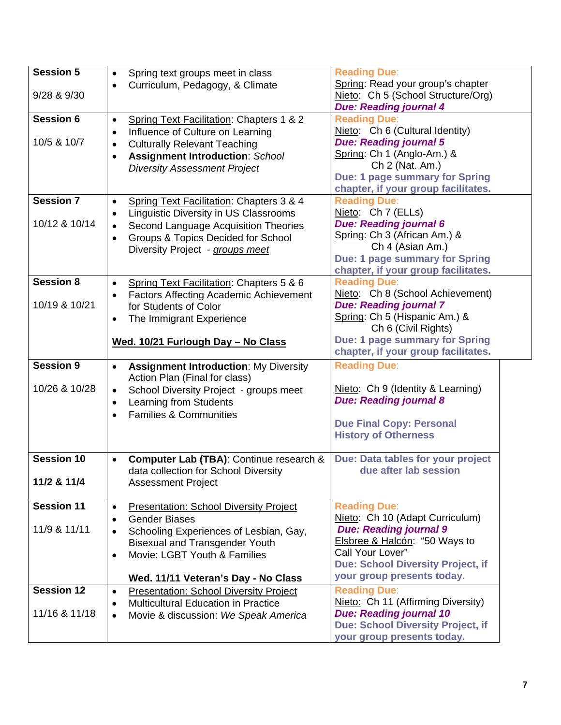| <b>Session 5</b><br>9/28 & 9/30    | Spring text groups meet in class<br>$\bullet$<br>Curriculum, Pedagogy, & Climate<br>$\bullet$                                                                                                                                                                                       | <b>Reading Due:</b><br>Spring: Read your group's chapter<br>Nieto: Ch 5 (School Structure/Org)<br><b>Due: Reading journal 4</b>                                                                                        |
|------------------------------------|-------------------------------------------------------------------------------------------------------------------------------------------------------------------------------------------------------------------------------------------------------------------------------------|------------------------------------------------------------------------------------------------------------------------------------------------------------------------------------------------------------------------|
| <b>Session 6</b><br>10/5 & 10/7    | Spring Text Facilitation: Chapters 1 & 2<br>$\bullet$<br>Influence of Culture on Learning<br>$\bullet$<br><b>Culturally Relevant Teaching</b><br>$\bullet$<br><b>Assignment Introduction: School</b><br>$\bullet$<br><b>Diversity Assessment Project</b>                            | <b>Reading Due:</b><br>Nieto: Ch 6 (Cultural Identity)<br><b>Due: Reading journal 5</b><br>Spring: Ch 1 (Anglo-Am.) &<br>Ch 2 (Nat. Am.)<br>Due: 1 page summary for Spring<br>chapter, if your group facilitates.      |
| <b>Session 7</b><br>10/12 & 10/14  | Spring Text Facilitation: Chapters 3 & 4<br>$\bullet$<br><b>Linguistic Diversity in US Classrooms</b><br>$\bullet$<br>Second Language Acquisition Theories<br>$\bullet$<br>Groups & Topics Decided for School<br>$\bullet$<br>Diversity Project - groups meet                       | <b>Reading Due:</b><br>Nieto: Ch 7 (ELLs)<br><b>Due: Reading journal 6</b><br>Spring: Ch 3 (African Am.) &<br>Ch 4 (Asian Am.)<br><b>Due: 1 page summary for Spring</b><br>chapter, if your group facilitates.         |
| <b>Session 8</b><br>10/19 & 10/21  | Spring Text Facilitation: Chapters 5 & 6<br>$\bullet$<br><b>Factors Affecting Academic Achievement</b><br>for Students of Color<br>The Immigrant Experience<br>$\bullet$                                                                                                            | <b>Reading Due:</b><br>Nieto: Ch 8 (School Achievement)<br><b>Due: Reading journal 7</b><br>Spring: Ch 5 (Hispanic Am.) &<br>Ch 6 (Civil Rights)                                                                       |
|                                    | Wed. 10/21 Furlough Day - No Class                                                                                                                                                                                                                                                  | Due: 1 page summary for Spring<br>chapter, if your group facilitates.                                                                                                                                                  |
| <b>Session 9</b><br>10/26 & 10/28  | <b>Assignment Introduction: My Diversity</b><br>$\bullet$<br>Action Plan (Final for class)<br>School Diversity Project - groups meet<br>$\bullet$<br>Learning from Students<br>$\bullet$<br><b>Families &amp; Communities</b>                                                       | <b>Reading Due:</b><br>Nieto: Ch 9 (Identity & Learning)<br><b>Due: Reading journal 8</b><br><b>Due Final Copy: Personal</b><br><b>History of Otherness</b>                                                            |
| <b>Session 10</b><br>11/2 & 11/4   | Computer Lab (TBA): Continue research &<br>$\bullet$<br>data collection for School Diversity<br><b>Assessment Project</b>                                                                                                                                                           | Due: Data tables for your project<br>due after lab session                                                                                                                                                             |
| <b>Session 11</b><br>11/9 & 11/11  | <b>Presentation: School Diversity Project</b><br>$\bullet$<br><b>Gender Biases</b><br>$\bullet$<br>Schooling Experiences of Lesbian, Gay,<br>$\bullet$<br><b>Bisexual and Transgender Youth</b><br>Movie: LGBT Youth & Families<br>$\bullet$<br>Wed. 11/11 Veteran's Day - No Class | <b>Reading Due:</b><br>Nieto: Ch 10 (Adapt Curriculum)<br><b>Due: Reading journal 9</b><br>Elsbree & Halcón: "50 Ways to<br>Call Your Lover"<br><b>Due: School Diversity Project, if</b><br>your group presents today. |
| <b>Session 12</b><br>11/16 & 11/18 | <b>Presentation: School Diversity Project</b><br>$\bullet$<br><b>Multicultural Education in Practice</b><br>$\bullet$<br>Movie & discussion: We Speak America<br>$\bullet$                                                                                                          | <b>Reading Due:</b><br>Nieto: Ch 11 (Affirming Diversity)<br><b>Due: Reading journal 10</b><br><b>Due: School Diversity Project, if</b><br>your group presents today.                                                  |